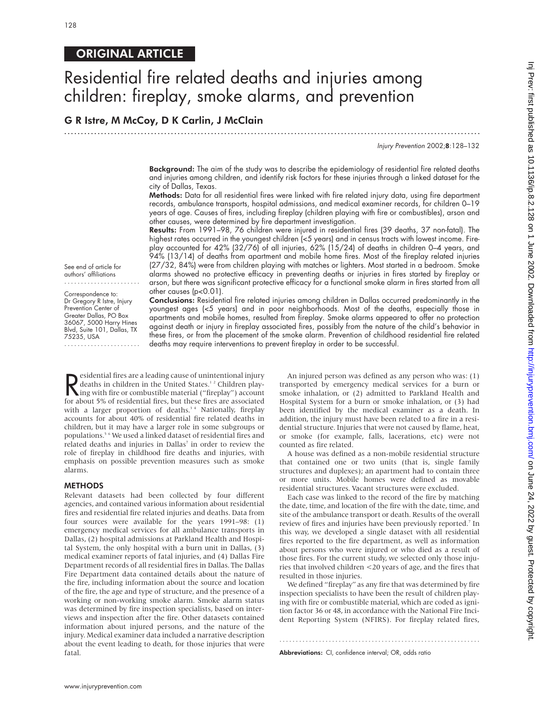## ORIGINAL ARTICLE

# Residential fire related deaths and injuries among children: fireplay, smoke alarms, and prevention

.............................................................................................................................

## G R Istre, M McCoy, D K Carlin, J McClain

Injury Prevention 2002;8:128–132

**Background:** The aim of the study was to describe the epidemiology of residential fire related deaths and injuries among children, and identify risk factors for these injuries through a linked dataset for the city of Dallas, Texas.

Methods: Data for all residential fires were linked with fire related injury data, using fire department records, ambulance transports, hospital admissions, and medical examiner records, for children 0–19 years of age. Causes of fires, including fireplay (children playing with fire or combustibles), arson and other causes, were determined by fire department investigation.

Results: From 1991–98, 76 children were injured in residential fires (39 deaths, 37 non-fatal). The highest rates occurred in the youngest children (<5 years) and in census tracts with lowest income. Fireplay accounted for 42% (32/76) of all injuries, 62% (15/24) of deaths in children 0–4 years, and 94% (13/14) of deaths from apartment and mobile home fires. Most of the fireplay related injuries (27/32, 84%) were from children playing with matches or lighters. Most started in a bedroom. Smoke alarms showed no protective efficacy in preventing deaths or injuries in fires started by fireplay or arson, but there was significant protective efficacy for a functional smoke alarm in fires started from all other causes (p<0.01).

See end of article for authors' affiliations .......................

Correspondence to: Dr Gregory R Istre, Injury Prevention Center of Greater Dallas, PO Box 36067, 5000 Harry Hines Blvd, Suite 101, Dallas, TX 75235, USA .......................

Conclusions: Residential fire related injuries among children in Dallas occurred predominantly in the youngest ages (<5 years) and in poor neighborhoods. Most of the deaths, especially those in apartments and mobile homes, resulted from fireplay. Smoke alarms appeared to offer no protection against death or injury in fireplay associated fires, possibly from the nature of the child's behavior in these fires, or from the placement of the smoke alarm. Prevention of childhood residential fire related deaths may require interventions to prevent fireplay in order to be successful.

Expediential fires are a leading cause of unintentional injury<br>deaths in children in the United States.<sup>12</sup> Children play-<br>ing with fire or combustible material ("fireplay") account<br>for about 5% of residential fires, but t esidential fires are a leading cause of unintentional injury deaths in children in the United States.<sup>12</sup> Children playfor about 5% of residential fires, but these fires are associated with a larger proportion of deaths.<sup>34</sup> Nationally, fireplay accounts for about 40% of residential fire related deaths in children, but it may have a larger role in some subgroups or populations.5 6 We used a linked dataset of residential fires and related deaths and injuries in Dallas<sup>7</sup> in order to review the role of fireplay in childhood fire deaths and injuries, with emphasis on possible prevention measures such as smoke alarms.

#### **METHODS**

Relevant datasets had been collected by four different agencies, and contained various information about residential fires and residential fire related injuries and deaths. Data from four sources were available for the years 1991–98: (1) emergency medical services for all ambulance transports in Dallas, (2) hospital admissions at Parkland Health and Hospital System, the only hospital with a burn unit in Dallas, (3) medical examiner reports of fatal injuries, and (4) Dallas Fire Department records of all residential fires in Dallas. The Dallas Fire Department data contained details about the nature of the fire, including information about the source and location of the fire, the age and type of structure, and the presence of a working or non-working smoke alarm. Smoke alarm status was determined by fire inspection specialists, based on interviews and inspection after the fire. Other datasets contained information about injured persons, and the nature of the injury. Medical examiner data included a narrative description about the event leading to death, for those injuries that were fatal.

An injured person was defined as any person who was: (1) transported by emergency medical services for a burn or smoke inhalation, or (2) admitted to Parkland Health and Hospital System for a burn or smoke inhalation, or (3) had been identified by the medical examiner as a death. In addition, the injury must have been related to a fire in a residential structure. Injuries that were not caused by flame, heat, or smoke (for example, falls, lacerations, etc) were not counted as fire related.

A house was defined as a non-mobile residential structure that contained one or two units (that is, single family structures and duplexes); an apartment had to contain three or more units. Mobile homes were defined as movable residential structures. Vacant structures were excluded.

Each case was linked to the record of the fire by matching the date, time, and location of the fire with the date, time, and site of the ambulance transport or death. Results of the overall review of fires and injuries have been previously reported.<sup>7</sup> In this way, we developed a single dataset with all residential fires reported to the fire department, as well as information about persons who were injured or who died as a result of those fires. For the current study, we selected only those injuries that involved children <20 years of age, and the fires that resulted in those injuries.

We defined "fireplay" as any fire that was determined by fire inspection specialists to have been the result of children playing with fire or combustible material, which are coded as ignition factor 36 or 48, in accordance with the National Fire Incident Reporting System (NFIRS). For fireplay related fires,

.............................................................

Abbreviations: CI, confidence interval; OR, odds ratio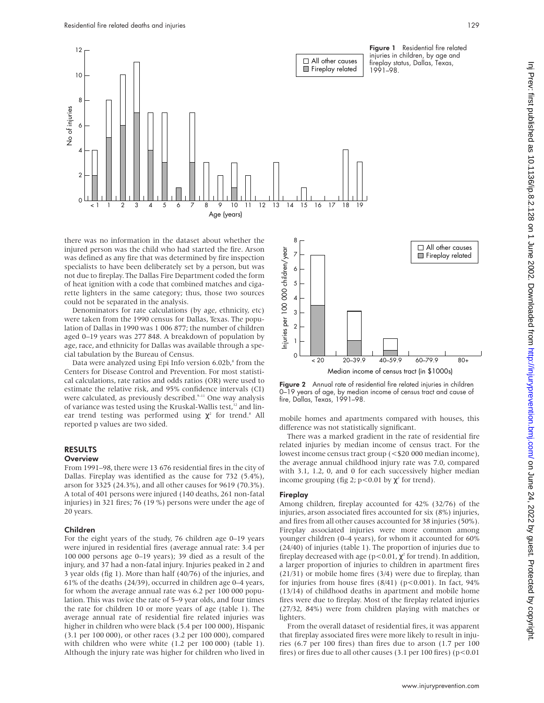

there was no information in the dataset about whether the injured person was the child who had started the fire. Arson was defined as any fire that was determined by fire inspection specialists to have been deliberately set by a person, but was not due to fireplay. The Dallas Fire Department coded the form of heat ignition with a code that combined matches and cigarette lighters in the same category; thus, those two sources could not be separated in the analysis.

Denominators for rate calculations (by age, ethnicity, etc) were taken from the 1990 census for Dallas, Texas. The population of Dallas in 1990 was 1 006 877; the number of children aged 0–19 years was 277 848. A breakdown of population by age, race, and ethnicity for Dallas was available through a special tabulation by the Bureau of Census.

Data were analyzed using Epi Info version 6.02b,<sup>8</sup> from the Centers for Disease Control and Prevention. For most statistical calculations, rate ratios and odds ratios (OR) were used to estimate the relative risk, and 95% confidence intervals (CI) were calculated, as previously described.<sup>9-11</sup> One way analysis of variance was tested using the Kruskal-Wallis test, $12$  and linear trend testing was performed using  $\chi^2$  for trend.<sup>8</sup> All reported p values are two sided.

### RESULTS

#### **Overview**

From 1991–98, there were 13 676 residential fires in the city of Dallas. Fireplay was identified as the cause for 732 (5.4%), arson for 3325 (24.3%), and all other causes for 9619 (70.3%). A total of 401 persons were injured (140 deaths, 261 non-fatal injuries) in 321 fires; 76 (19 %) persons were under the age of 20 years.

#### Children

For the eight years of the study, 76 children age 0–19 years were injured in residential fires (average annual rate: 3.4 per 100 000 persons age 0–19 years); 39 died as a result of the injury, and 37 had a non-fatal injury. Injuries peaked in 2 and 3 year olds (fig 1). More than half (40/76) of the injuries, and 61% of the deaths (24/39), occurred in children age 0–4 years, for whom the average annual rate was 6.2 per 100 000 population. This was twice the rate of 5–9 year olds, and four times the rate for children 10 or more years of age (table 1). The average annual rate of residential fire related injuries was higher in children who were black (5.4 per 100 000), Hispanic (3.1 per 100 000), or other races (3.2 per 100 000), compared with children who were white (1.2 per 100 000) (table 1). Although the injury rate was higher for children who lived in





mobile homes and apartments compared with houses, this difference was not statistically significant.

There was a marked gradient in the rate of residential fire related injuries by median income of census tract. For the lowest income census tract group (<\$20 000 median income), the average annual childhood injury rate was 7.0, compared with 3.1, 1.2, 0, and 0 for each successively higher median income grouping (fig 2;  $p < 0.01$  by  $\chi^2$  for trend).

#### **Fireplay**

Among children, fireplay accounted for 42% (32/76) of the injuries, arson associated fires accounted for six (8%) injuries, and fires from all other causes accounted for 38 injuries (50%). Fireplay associated injuries were more common among younger children (0–4 years), for whom it accounted for 60% (24/40) of injuries (table 1). The proportion of injuries due to fireplay decreased with age ( $p$ <0.01, $\chi^2$  for trend). In addition, a larger proportion of injuries to children in apartment fires (21/31) or mobile home fires (3/4) were due to fireplay, than for injuries from house fires  $(8/41)$  (p<0.001). In fact, 94% (13/14) of childhood deaths in apartment and mobile home fires were due to fireplay. Most of the fireplay related injuries (27/32, 84%) were from children playing with matches or lighters.

From the overall dataset of residential fires, it was apparent that fireplay associated fires were more likely to result in injuries (6.7 per 100 fires) than fires due to arson (1.7 per 100 fires) or fires due to all other causes (3.1 per 100 fires) ( $p$ <0.01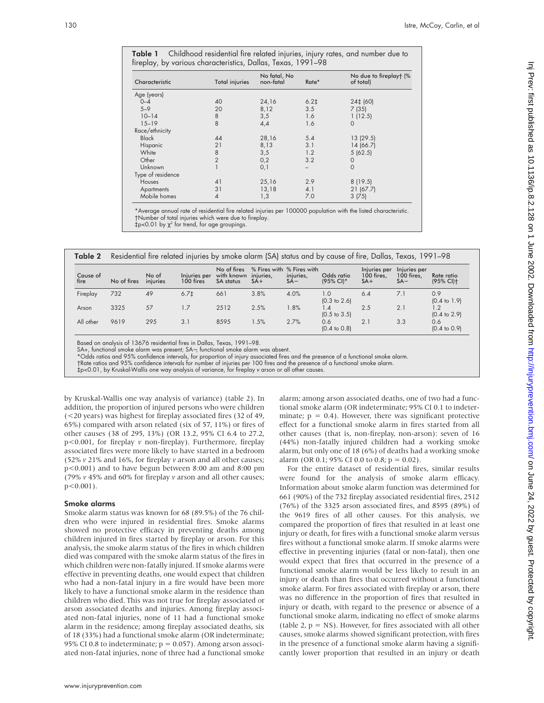Table 1 Childhood residential fire related injuries, injury rates, and number due to fireplay, by various characteristics, Dallas, Texas, 1991–98

| Characteristic    | <b>Total injuries</b> | No fatal, No<br>non-fatal | Rate*  | No due to fireplayt (%<br>of total) |
|-------------------|-----------------------|---------------------------|--------|-------------------------------------|
| Age (years)       |                       |                           |        |                                     |
| $0 - 4$           | 40                    | 24,16                     | $6.2+$ | 24‡ (60)                            |
| $5 - 9$           | 20                    | 8,12                      | 3.5    | 7(35)                               |
| $10 - 14$         | 8                     | 3,5                       | 1.6    | 1(12.5)                             |
| $15 - 19$         | 8                     | 4,4                       | 1.6    | $\circ$                             |
| Race/ethnicity    |                       |                           |        |                                     |
| <b>Black</b>      | 44                    | 28,16                     | 5.4    | 13(29.5)                            |
| Hispanic          | 21                    | 8,13                      | 3.1    | 14 (66.7)                           |
| White             | 8                     | 3,5                       | 1.2    | 5(62.5)                             |
| Other             | $\overline{2}$        | 0,2                       | 3.2    | $\circ$                             |
| Unknown           |                       | 0,1                       |        | $\mathbf{O}$                        |
| Type of residence |                       |                           |        |                                     |
| <b>Houses</b>     | 41                    | 25,16                     | 2.9    | 8(19.5)                             |
| Apartments        | 31                    | 13,18                     | 4.1    | 21(67.7)                            |
| Mobile homes      | $\overline{4}$        | 1,3                       | 7.0    | 3(75)                               |

\*Average annual rate of residential fire related injuries per 100000 population with the listed characteristic. †Number of total injuries which were due to fireplay.  $\frac{1}{2}p<0.01$  by  $\chi^2$  for trend, for age groupings.

| Table 2          | Residential fire related injuries by smoke alarm (SA) status and by cause of fire, Dallas, Texas, 1991–98 |                   |                           |                                                         |       |                                               |                                |                                     |                                     |                                        |  |
|------------------|-----------------------------------------------------------------------------------------------------------|-------------------|---------------------------|---------------------------------------------------------|-------|-----------------------------------------------|--------------------------------|-------------------------------------|-------------------------------------|----------------------------------------|--|
| Cause of<br>fire | No of fires                                                                                               | No of<br>iniuries | Injuries per<br>100 fires | No of fires<br>with known injuries,<br><b>SA</b> status | $SA+$ | % Fires with % Fires with<br>injuries,<br>SA– | Odds ratio<br>$(95\%$ CI)*     | Injuries per<br>100 fires,<br>$SA+$ | Injuries per<br>100 fires.<br>$SA-$ | Rate ratio<br>$(95\%$ CII <sub>t</sub> |  |
| Fireplay         | 732                                                                                                       | 49                | 6.71                      | 661                                                     | 3.8%  | 4.0%                                          | 1.0<br>$(0.3 \text{ to } 2.6)$ | 6.4                                 | 7.1                                 | 0.9<br>$(0.4 \text{ to } 1.9)$         |  |
| Arson            | 3325                                                                                                      | 57                | 1.7                       | 2512                                                    | 2.5%  | 1.8%                                          | 1.4<br>$(0.5 \text{ to } 3.5)$ | 2.5                                 | 2.1                                 | $(0.4 \text{ to } 2.9)$                |  |
| All other        | 9619                                                                                                      | 295               | 3.1                       | 8595                                                    | 1.5%  | 2.7%                                          | 0.6<br>$(0.4 \text{ to } 0.8)$ | 21                                  | 3.3                                 | 0.6<br>$(0.4 \text{ to } 0.9)$         |  |

Based on analysis of 13676 residential fires in Dallas, Texas, 1991–98.

SA+, functional smoke alarm was present; SA−, functional smoke alarm was absent.

\*Odds ratios and 95% contidence intervals, tor proportion ot injury associated tires and the presence ot a tunctional smoke alarm.<br>†Rate ratios and 95% confidence intervals for number of injuries per 100 fires and the pres

‡p<0.01, by Kruskal-Wallis one way analysis of variance, for fireplay <sup>v</sup> arson or all other causes.

by Kruskal-Wallis one way analysis of variance) (table 2). In addition, the proportion of injured persons who were children (<20 years) was highest for fireplay associated fires (32 of 49, 65%) compared with arson related (six of 57, 11%) or fires of other causes (38 of 295, 13%) (OR 13.2, 95% CI 6.4 to 27.2, p<0.001, for fireplay *v* non-fireplay). Furthermore, fireplay associated fires were more likely to have started in a bedroom (52% *v* 21% and 16%, for fireplay *v* arson and all other causes; p<0.001) and to have begun between 8:00 am and 8:00 pm (79% *v* 45% and 60% for fireplay *v* arson and all other causes; p<0.001).

#### Smoke alarms

Smoke alarm status was known for 68 (89.5%) of the 76 children who were injured in residential fires. Smoke alarms showed no protective efficacy in preventing deaths among children injured in fires started by fireplay or arson. For this analysis, the smoke alarm status of the fires in which children died was compared with the smoke alarm status of the fires in which children were non-fatally injured. If smoke alarms were effective in preventing deaths, one would expect that children who had a non-fatal injury in a fire would have been more likely to have a functional smoke alarm in the residence than children who died. This was not true for fireplay associated or arson associated deaths and injuries. Among fireplay associated non-fatal injuries, none of 11 had a functional smoke alarm in the residence; among fireplay associated deaths, six of 18 (33%) had a functional smoke alarm (OR indeterminate; 95% CI 0.8 to indeterminate;  $p = 0.057$ ). Among arson associated non-fatal injuries, none of three had a functional smoke

alarm; among arson associated deaths, one of two had a functional smoke alarm (OR indeterminate; 95% CI 0.1 to indeterminate;  $p = 0.4$ ). However, there was significant protective effect for a functional smoke alarm in fires started from all other causes (that is, non-fireplay, non-arson): seven of 16 (44%) non-fatally injured children had a working smoke alarm, but only one of 18 (6%) of deaths had a working smoke alarm (OR 0.1; 95% CI 0.0 to 0.8;  $p = 0.02$ ).

For the entire dataset of residential fires, similar results were found for the analysis of smoke alarm efficacy. Information about smoke alarm function was determined for 661 (90%) of the 732 fireplay associated residential fires, 2512 (76%) of the 3325 arson associated fires, and 8595 (89%) of the 9619 fires of all other causes. For this analysis, we compared the proportion of fires that resulted in at least one injury or death, for fires with a functional smoke alarm versus fires without a functional smoke alarm. If smoke alarms were effective in preventing injuries (fatal or non-fatal), then one would expect that fires that occurred in the presence of a functional smoke alarm would be less likely to result in an injury or death than fires that occurred without a functional smoke alarm. For fires associated with fireplay or arson, there was no difference in the proportion of fires that resulted in injury or death, with regard to the presence or absence of a functional smoke alarm, indicating no effect of smoke alarms (table 2,  $p = NS$ ). However, for fires associated with all other causes, smoke alarms showed significant protection, with fires in the presence of a functional smoke alarm having a significantly lower proportion that resulted in an injury or death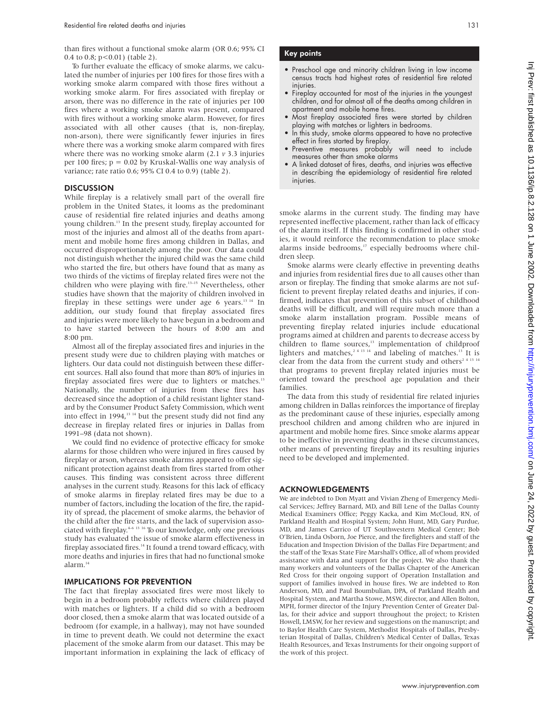than fires without a functional smoke alarm (OR 0.6; 95% CI 0.4 to 0.8;  $p < 0.01$ ) (table 2).

To further evaluate the efficacy of smoke alarms, we calculated the number of injuries per 100 fires for those fires with a working smoke alarm compared with those fires without a working smoke alarm. For fires associated with fireplay or arson, there was no difference in the rate of injuries per 100 fires where a working smoke alarm was present, compared with fires without a working smoke alarm. However, for fires associated with all other causes (that is, non-fireplay, non-arson), there were significantly fewer injuries in fires where there was a working smoke alarm compared with fires where there was no working smoke alarm (2.1 *v* 3.3 injuries per 100 fires;  $p = 0.02$  by Kruskal-Wallis one way analysis of variance; rate ratio 0.6; 95% CI 0.4 to 0.9) (table 2).

#### **DISCUSSION**

While fireplay is a relatively small part of the overall fire problem in the United States, it looms as the predominant cause of residential fire related injuries and deaths among young children.<sup>13</sup> In the present study, fireplay accounted for most of the injuries and almost all of the deaths from apartment and mobile home fires among children in Dallas, and occurred disproportionately among the poor. Our data could not distinguish whether the injured child was the same child who started the fire, but others have found that as many as two thirds of the victims of fireplay related fires were not the children who were playing with fire.<sup>13-15</sup> Nevertheless, other studies have shown that the majority of children involved in fireplay in these settings were under age 6 years.<sup>13 14</sup> In addition, our study found that fireplay associated fires and injuries were more likely to have begun in a bedroom and to have started between the hours of 8:00 am and 8:00 pm.

Almost all of the fireplay associated fires and injuries in the present study were due to children playing with matches or lighters. Our data could not distinguish between these different sources. Hall also found that more than 80% of injuries in fireplay associated fires were due to lighters or matches.<sup>13</sup> Nationally, the number of injuries from these fires has decreased since the adoption of a child resistant lighter standard by the Consumer Product Safety Commission, which went into effect in 1994,<sup>13-14</sup> but the present study did not find any decrease in fireplay related fires or injuries in Dallas from 1991–98 (data not shown).

We could find no evidence of protective efficacy for smoke alarms for those children who were injured in fires caused by fireplay or arson, whereas smoke alarms appeared to offer significant protection against death from fires started from other causes. This finding was consistent across three different analyses in the current study. Reasons for this lack of efficacy of smoke alarms in fireplay related fires may be due to a number of factors, including the location of the fire, the rapidity of spread, the placement of smoke alarms, the behavior of the child after the fire starts, and the lack of supervision associated with fireplay. $4-6$  13 16 To our knowledge, only one previous study has evaluated the issue of smoke alarm effectiveness in fireplay associated fires.<sup>14</sup> It found a trend toward efficacy, with more deaths and injuries in fires that had no functional smoke alarm.14

#### IMPLICATIONS FOR PREVENTION

The fact that fireplay associated fires were most likely to begin in a bedroom probably reflects where children played with matches or lighters. If a child did so with a bedroom door closed, then a smoke alarm that was located outside of a bedroom (for example, in a hallway), may not have sounded in time to prevent death. We could not determine the exact placement of the smoke alarm from our dataset. This may be important information in explaining the lack of efficacy of

#### Key points

- Preschool age and minority children living in low income census tracts had highest rates of residential fire related injuries.
- Fireplay accounted for most of the injuries in the youngest children, and for almost all of the deaths among children in apartment and mobile home fires.
- Most fireplay associated fires were started by children playing with matches or lighters in bedrooms.
- In this study, smoke alarms appeared to have no protective effect in fires started by fireplay.
- Preventive measures probably will need to include measures other than smoke alarms
- A linked dataset of fires, deaths, and injuries was effective in describing the epidemiology of residential fire related iniuries.

smoke alarms in the current study. The finding may have represented ineffective placement, rather than lack of efficacy of the alarm itself. If this finding is confirmed in other studies, it would reinforce the recommendation to place smoke alarms inside bedrooms,<sup>17</sup> especially bedrooms where children sleep.

Smoke alarms were clearly effective in preventing deaths and injuries from residential fires due to all causes other than arson or fireplay. The finding that smoke alarms are not sufficient to prevent fireplay related deaths and injuries, if confirmed, indicates that prevention of this subset of childhood deaths will be difficult, and will require much more than a smoke alarm installation program. Possible means of preventing fireplay related injuries include educational programs aimed at children and parents to decrease access by children to flame sources,<sup>13</sup> implementation of childproof lighters and matches,  $2^{4}$  13 14 and labeling of matches.<sup>13</sup> It is clear from the data from the current study and others<sup>2 4 13</sup> <sup>14</sup> that programs to prevent fireplay related injuries must be oriented toward the preschool age population and their families.

The data from this study of residential fire related injuries among children in Dallas reinforces the importance of fireplay as the predominant cause of these injuries, especially among preschool children and among children who are injured in apartment and mobile home fires. Since smoke alarms appear to be ineffective in preventing deaths in these circumstances, other means of preventing fireplay and its resulting injuries need to be developed and implemented.

#### ACKNOWLEDGEMENTS

We are indebted to Don Myatt and Vivian Zheng of Emergency Medical Services; Jeffrey Barnard, MD, and Bill Lene of the Dallas County Medical Examiners Office; Peggy Kacka, and Kim McCloud, RN, of Parkland Health and Hospital System; John Hunt, MD, Gary Purdue, MD, and James Carrico of UT Southwestern Medical Center; Bob O'Brien, Linda Osborn, Joe Pierce, and the firefighters and staff of the Education and Inspection Division of the Dallas Fire Department; and the staff of the Texas State Fire Marshall's Office, all of whom provided assistance with data and support for the project. We also thank the many workers and volunteers of the Dallas Chapter of the American Red Cross for their ongoing support of Operation Installation and support of families involved in house fires. We are indebted to Ron Anderson, MD, and Paul Boumbulian, DPA, of Parkland Health and Hospital System, and Martha Stowe, MSW, director, and Allen Bolton, MPH, former director of the Injury Prevention Center of Greater Dallas, for their advice and support throughout the project; to Kristen Howell, LMSW, for her review and suggestions on the manuscript; and to Baylor Health Care System, Methodist Hospitals of Dallas, Presbyterian Hospital of Dallas, Children's Medical Center of Dallas, Texas Health Resources, and Texas Instruments for their ongoing support of the work of this project.